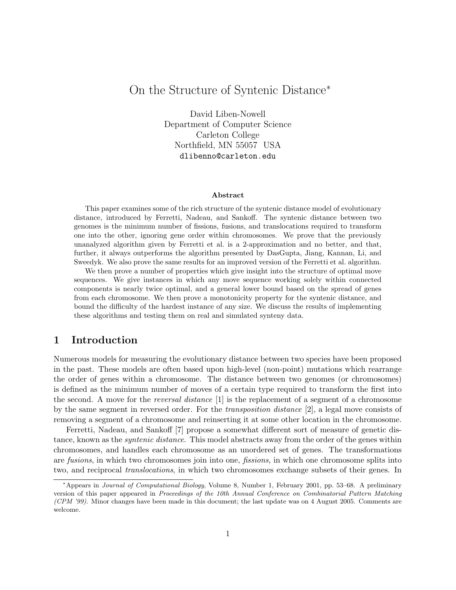# On the Structure of Syntenic Distance<sup>∗</sup>

David Liben-Nowell Department of Computer Science Carleton College Northfield, MN 55057 USA dlibenno@carleton.edu

#### Abstract

This paper examines some of the rich structure of the syntenic distance model of evolutionary distance, introduced by Ferretti, Nadeau, and Sankoff. The syntenic distance between two genomes is the minimum number of fissions, fusions, and translocations required to transform one into the other, ignoring gene order within chromosomes. We prove that the previously unanalyzed algorithm given by Ferretti et al. is a 2-approximation and no better, and that, further, it always outperforms the algorithm presented by DasGupta, Jiang, Kannan, Li, and Sweedyk. We also prove the same results for an improved version of the Ferretti et al. algorithm.

We then prove a number of properties which give insight into the structure of optimal move sequences. We give instances in which any move sequence working solely within connected components is nearly twice optimal, and a general lower bound based on the spread of genes from each chromosome. We then prove a monotonicity property for the syntenic distance, and bound the difficulty of the hardest instance of any size. We discuss the results of implementing these algorithms and testing them on real and simulated synteny data.

# 1 Introduction

Numerous models for measuring the evolutionary distance between two species have been proposed in the past. These models are often based upon high-level (non-point) mutations which rearrange the order of genes within a chromosome. The distance between two genomes (or chromosomes) is defined as the minimum number of moves of a certain type required to transform the first into the second. A move for the reversal distance [1] is the replacement of a segment of a chromosome by the same segment in reversed order. For the transposition distance [2], a legal move consists of removing a segment of a chromosome and reinserting it at some other location in the chromosome.

Ferretti, Nadeau, and Sankoff [7] propose a somewhat different sort of measure of genetic distance, known as the syntenic distance. This model abstracts away from the order of the genes within chromosomes, and handles each chromosome as an unordered set of genes. The transformations are fusions, in which two chromosomes join into one, fissions, in which one chromosome splits into two, and reciprocal translocations, in which two chromosomes exchange subsets of their genes. In

<sup>∗</sup>Appears in Journal of Computational Biology, Volume 8, Number 1, February 2001, pp. 53–68. A preliminary version of this paper appeared in Proceedings of the 10th Annual Conference on Combinatorial Pattern Matching (CPM '99). Minor changes have been made in this document; the last update was on 4 August 2005. Comments are welcome.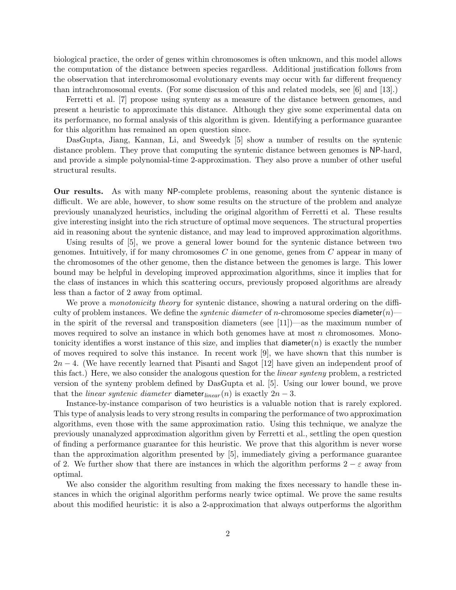biological practice, the order of genes within chromosomes is often unknown, and this model allows the computation of the distance between species regardless. Additional justification follows from the observation that interchromosomal evolutionary events may occur with far different frequency than intrachromosomal events. (For some discussion of this and related models, see [6] and [13].)

Ferretti et al. [7] propose using synteny as a measure of the distance between genomes, and present a heuristic to approximate this distance. Although they give some experimental data on its performance, no formal analysis of this algorithm is given. Identifying a performance guarantee for this algorithm has remained an open question since.

DasGupta, Jiang, Kannan, Li, and Sweedyk [5] show a number of results on the syntenic distance problem. They prove that computing the syntenic distance between genomes is NP-hard, and provide a simple polynomial-time 2-approximation. They also prove a number of other useful structural results.

Our results. As with many NP-complete problems, reasoning about the syntenic distance is difficult. We are able, however, to show some results on the structure of the problem and analyze previously unanalyzed heuristics, including the original algorithm of Ferretti et al. These results give interesting insight into the rich structure of optimal move sequences. The structural properties aid in reasoning about the syntenic distance, and may lead to improved approximation algorithms.

Using results of [5], we prove a general lower bound for the syntenic distance between two genomes. Intuitively, if for many chromosomes  $C$  in one genome, genes from  $C$  appear in many of the chromosomes of the other genome, then the distance between the genomes is large. This lower bound may be helpful in developing improved approximation algorithms, since it implies that for the class of instances in which this scattering occurs, previously proposed algorithms are already less than a factor of 2 away from optimal.

We prove a *monotonicity theory* for syntenic distance, showing a natural ordering on the difficulty of problem instances. We define the *syntenic diameter* of *n*-chromosome species diameter $(n)$  in the spirit of the reversal and transposition diameters (see [11])—as the maximum number of moves required to solve an instance in which both genomes have at most  $n$  chromosomes. Monotonicity identifies a worst instance of this size, and implies that diameter $(n)$  is exactly the number of moves required to solve this instance. In recent work [9], we have shown that this number is  $2n-4$ . (We have recently learned that Pisanti and Sagot [12] have given an independent proof of this fact.) Here, we also consider the analogous question for the linear synteny problem, a restricted version of the synteny problem defined by DasGupta et al. [5]. Using our lower bound, we prove that the *linear syntenic diameter* diameter<sub>linear</sub> (n) is exactly  $2n - 3$ .

Instance-by-instance comparison of two heuristics is a valuable notion that is rarely explored. This type of analysis leads to very strong results in comparing the performance of two approximation algorithms, even those with the same approximation ratio. Using this technique, we analyze the previously unanalyzed approximation algorithm given by Ferretti et al., settling the open question of finding a performance guarantee for this heuristic. We prove that this algorithm is never worse than the approximation algorithm presented by [5], immediately giving a performance guarantee of 2. We further show that there are instances in which the algorithm performs  $2 - \varepsilon$  away from optimal.

We also consider the algorithm resulting from making the fixes necessary to handle these instances in which the original algorithm performs nearly twice optimal. We prove the same results about this modified heuristic: it is also a 2-approximation that always outperforms the algorithm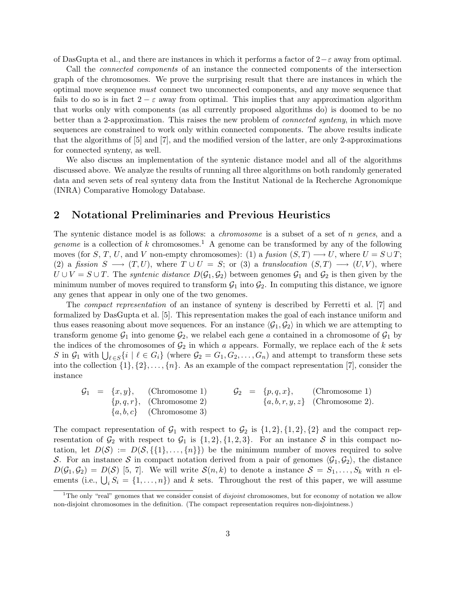of DasGupta et al., and there are instances in which it performs a factor of  $2-\varepsilon$  away from optimal.

Call the connected components of an instance the connected components of the intersection graph of the chromosomes. We prove the surprising result that there are instances in which the optimal move sequence must connect two unconnected components, and any move sequence that fails to do so is in fact  $2 - \varepsilon$  away from optimal. This implies that any approximation algorithm that works only with components (as all currently proposed algorithms do) is doomed to be no better than a 2-approximation. This raises the new problem of connected synteny, in which move sequences are constrained to work only within connected components. The above results indicate that the algorithms of [5] and [7], and the modified version of the latter, are only 2-approximations for connected synteny, as well.

We also discuss an implementation of the syntenic distance model and all of the algorithms discussed above. We analyze the results of running all three algorithms on both randomly generated data and seven sets of real synteny data from the Institut National de la Recherche Agronomique (INRA) Comparative Homology Database.

#### 2 Notational Preliminaries and Previous Heuristics

The syntenic distance model is as follows: a *chromosome* is a subset of a set of  $n$  genes, and a *genome* is a collection of k chromosomes.<sup>1</sup> A genome can be transformed by any of the following moves (for S, T, U, and V non-empty chromosomes): (1) a fusion  $(S, T) \longrightarrow U$ , where  $U = S \cup T$ ; (2) a fission  $S \longrightarrow (T, U)$ , where  $T \cup U = S$ ; or (3) a translocation  $(S, T) \longrightarrow (U, V)$ , where  $U \cup V = S \cup T$ . The *syntenic distance*  $D(\mathcal{G}_1, \mathcal{G}_2)$  between genomes  $\mathcal{G}_1$  and  $\mathcal{G}_2$  is then given by the minimum number of moves required to transform  $G_1$  into  $G_2$ . In computing this distance, we ignore any genes that appear in only one of the two genomes.

The compact representation of an instance of synteny is described by Ferretti et al. [7] and formalized by DasGupta et al. [5]. This representation makes the goal of each instance uniform and thus eases reasoning about move sequences. For an instance  $\langle G_1, G_2 \rangle$  in which we are attempting to transform genome  $\mathcal{G}_1$  into genome  $\mathcal{G}_2$ , we relabel each gene a contained in a chromosome of  $\mathcal{G}_1$  by the indices of the chromosomes of  $\mathcal{G}_2$  in which a appears. Formally, we replace each of the k sets S in  $\mathcal{G}_1$  with  $\bigcup_{\ell \in S} \{i \mid \ell \in G_i\}$  (where  $\mathcal{G}_2 = G_1, G_2, \ldots, G_n$ ) and attempt to transform these sets into the collection  $\{1\}, \{2\}, \ldots, \{n\}$ . As an example of the compact representation [7], consider the instance

$$
G_1 = \{x, y\}, \qquad \text{(Chromosome 1)} \qquad G_2 = \{p, q, x\}, \qquad \text{(Chromosome 1)} \{p, q, r\}, \qquad \text{(Chromosome 2)} \{a, b, r, y, z\} \qquad \text{(Chromosome 2)}.
$$
\n
$$
\{a, b, c\} \qquad \text{(Chromosome 3)}
$$

The compact representation of  $\mathcal{G}_1$  with respect to  $\mathcal{G}_2$  is  $\{1,2\}, \{1,2\}, \{2\}$  and the compact representation of  $\mathcal{G}_2$  with respect to  $\mathcal{G}_1$  is  $\{1,2\}, \{1,2,3\}$ . For an instance S in this compact notation, let  $D(\mathcal{S}) := D(\mathcal{S}, \{\{1\}, \ldots, \{n\}\})$  be the minimum number of moves required to solve S. For an instance S in compact notation derived from a pair of genomes  $\langle \mathcal{G}_1, \mathcal{G}_2 \rangle$ , the distance  $D(\mathcal{G}_1, \mathcal{G}_2) = D(\mathcal{S})$  [5, 7]. We will write  $\mathcal{S}(n, k)$  to denote a instance  $\mathcal{S} = S_1, \ldots, S_k$  with n elements (i.e.,  $\bigcup_i S_i = \{1, ..., n\}$ ) and k sets. Throughout the rest of this paper, we will assume

<sup>&</sup>lt;sup>1</sup>The only "real" genomes that we consider consist of *disjoint* chromosomes, but for economy of notation we allow non-disjoint chromosomes in the definition. (The compact representation requires non-disjointness.)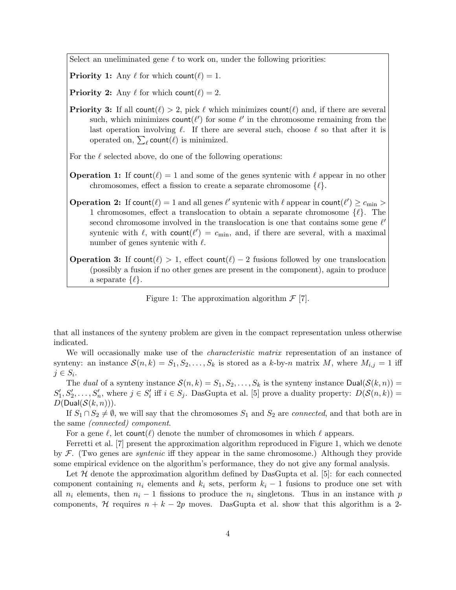Select an uneliminated gene  $\ell$  to work on, under the following priorities:

**Priority 1:** Any  $\ell$  for which count $(\ell) = 1$ .

**Priority 2:** Any  $\ell$  for which count  $(\ell) = 2$ .

**Priority 3:** If all count( $\ell$ ) > 2, pick  $\ell$  which minimizes count( $\ell$ ) and, if there are several such, which minimizes  $count(\ell')$  for some  $\ell'$  in the chromosome remaining from the last operation involving  $\ell$ . If there are several such, choose  $\ell$  so that after it is operated on,  $\sum_{\ell}$  count $(\ell)$  is minimized.

For the  $\ell$  selected above, do one of the following operations:

- **Operation 1:** If count $(\ell) = 1$  and some of the genes syntenic with  $\ell$  appear in no other chromosomes, effect a fission to create a separate chromosome  $\{\ell\}.$
- **Operation 2:** If count $(\ell) = 1$  and all genes  $\ell'$  syntenic with  $\ell$  appear in count $(\ell') \geq c_{\min} >$ 1 chromosomes, effect a translocation to obtain a separate chromosome  $\{\ell\}$ . The second chromosome involved in the translocation is one that contains some gene  $\ell'$ syntenic with  $\ell$ , with count $(\ell') = c_{\min}$ , and, if there are several, with a maximal number of genes syntenic with  $\ell$ .

**Operation 3:** If count( $\ell$ ) > 1, effect count( $\ell$ ) – 2 fusions followed by one translocation (possibly a fusion if no other genes are present in the component), again to produce a separate  $\{\ell\}.$ 

Figure 1: The approximation algorithm  $\mathcal{F}$  [7].

that all instances of the synteny problem are given in the compact representation unless otherwise indicated.

We will occasionally make use of the *characteristic matrix* representation of an instance of synteny: an instance  $\mathcal{S}(n,k) = S_1, S_2, \ldots, S_k$  is stored as a k-by-n matrix M, where  $M_{i,j} = 1$  iff  $j \in S_i$ .

The dual of a synteny instance  $\mathcal{S}(n,k) = S_1, S_2, \ldots, S_k$  is the synteny instance  $\text{Dual}(\mathcal{S}(k,n)) =$  $S'_1, S'_2, \ldots, S'_n$ , where  $j \in S'_i$  iff  $i \in S_j$ . DasGupta et al. [5] prove a duality property:  $D(S(n, k)) =$  $D(Dual(S(k,n))).$ 

If  $S_1 \cap S_2 \neq \emptyset$ , we will say that the chromosomes  $S_1$  and  $S_2$  are *connected*, and that both are in the same (connected) component.

For a gene  $\ell$ , let count $(\ell)$  denote the number of chromosomes in which  $\ell$  appears.

Ferretti et al. [7] present the approximation algorithm reproduced in Figure 1, which we denote by  $\mathcal F$ . (Two genes are *syntenic* iff they appear in the same chromosome.) Although they provide some empirical evidence on the algorithm's performance, they do not give any formal analysis.

Let  $\mathcal H$  denote the approximation algorithm defined by DasGupta et al. [5]: for each connected component containing  $n_i$  elements and  $k_i$  sets, perform  $k_i - 1$  fusions to produce one set with all  $n_i$  elements, then  $n_i - 1$  fissions to produce the  $n_i$  singletons. Thus in an instance with p components, H requires  $n + k - 2p$  moves. DasGupta et al. show that this algorithm is a 2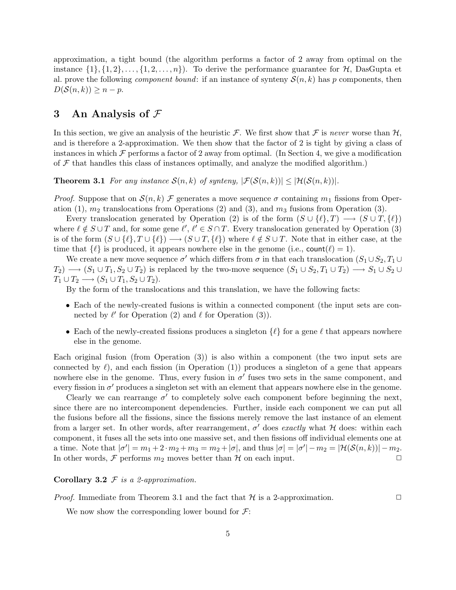approximation, a tight bound (the algorithm performs a factor of 2 away from optimal on the instance  $\{1\}, \{1, 2\}, \ldots, \{1, 2, \ldots, n\}$ . To derive the performance guarantee for  $\mathcal{H}$ , DasGupta et al. prove the following *component bound*: if an instance of synteny  $\mathcal{S}(n,k)$  has p components, then  $D(S(n, k)) \geq n - p$ .

# 3 An Analysis of  $\mathcal F$

In this section, we give an analysis of the heuristic F. We first show that F is never worse than  $H$ , and is therefore a 2-approximation. We then show that the factor of 2 is tight by giving a class of instances in which  $\mathcal F$  performs a factor of 2 away from optimal. (In Section 4, we give a modification of  $\mathcal F$  that handles this class of instances optimally, and analyze the modified algorithm.)

**Theorem 3.1** For any instance  $S(n, k)$  of synteny,  $|\mathcal{F}(S(n, k))| \leq |\mathcal{H}(S(n, k))|$ .

*Proof.* Suppose that on  $\mathcal{S}(n, k)$  F generates a move sequence  $\sigma$  containing  $m_1$  fissions from Operation (1),  $m_2$  translocations from Operations (2) and (3), and  $m_3$  fusions from Operation (3).

Every translocation generated by Operation (2) is of the form  $(S \cup \{\ell\}, T) \longrightarrow (S \cup T, \{\ell\})$ where  $\ell \notin S \cup T$  and, for some gene  $\ell', \ell' \in S \cap T$ . Every translocation generated by Operation (3) is of the form  $(S \cup \{\ell\}, T \cup \{\ell\}) \longrightarrow (S \cup T, \{\ell\})$  where  $\ell \notin S \cup T$ . Note that in either case, at the time that  $\{\ell\}$  is produced, it appears nowhere else in the genome (i.e., count( $\ell$ ) = 1).

We create a new move sequence  $\sigma'$  which differs from  $\sigma$  in that each translocation  $(S_1 \cup S_2, T_1 \cup T_2)$  $T_2$ )  $\longrightarrow$   $(S_1 \cup T_1, S_2 \cup T_2)$  is replaced by the two-move sequence  $(S_1 \cup S_2, T_1 \cup T_2)$   $\longrightarrow$   $S_1 \cup S_2 \cup T_1$  $T_1 \cup T_2 \longrightarrow (S_1 \cup T_1, S_2 \cup T_2).$ 

By the form of the translocations and this translation, we have the following facts:

- Each of the newly-created fusions is within a connected component (the input sets are connected by  $\ell'$  for Operation (2) and  $\ell$  for Operation (3)).
- Each of the newly-created fissions produces a singleton  $\{\ell\}$  for a gene  $\ell$  that appears nowhere else in the genome.

Each original fusion (from Operation (3)) is also within a component (the two input sets are connected by  $\ell$ , and each fission (in Operation (1)) produces a singleton of a gene that appears nowhere else in the genome. Thus, every fusion in  $\sigma'$  fuses two sets in the same component, and every fission in  $\sigma'$  produces a singleton set with an element that appears nowhere else in the genome.

Clearly we can rearrange  $\sigma'$  to completely solve each component before beginning the next, since there are no intercomponent dependencies. Further, inside each component we can put all the fusions before all the fissions, since the fissions merely remove the last instance of an element from a larger set. In other words, after rearrangement,  $\sigma'$  does exactly what H does: within each component, it fuses all the sets into one massive set, and then fissions off individual elements one at a time. Note that  $|\sigma'| = m_1 + 2 \cdot m_2 + m_3 = m_2 + |\sigma|$ , and thus  $|\sigma| = |\sigma'| - m_2 = |\mathcal{H}(\mathcal{S}(n,k))| - m_2$ . In other words,  $\mathcal F$  performs  $m_2$  moves better than  $\mathcal H$  on each input.

Corollary 3.2  $\mathcal F$  is a 2-approximation.

*Proof.* Immediate from Theorem 3.1 and the fact that  $H$  is a 2-approximation.  $\Box$ 

We now show the corresponding lower bound for  $\mathcal{F}$ :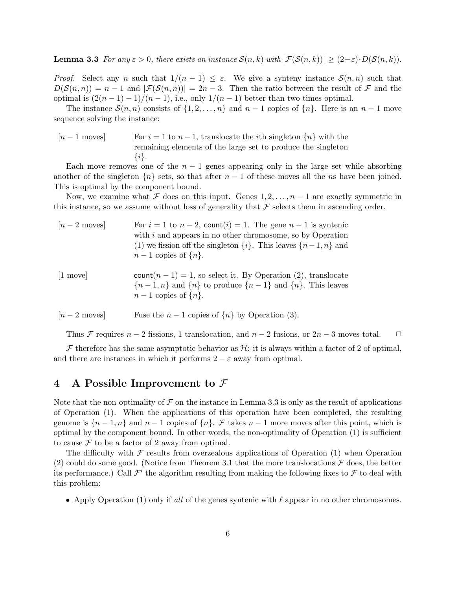**Lemma 3.3** For any  $\varepsilon > 0$ , there exists an instance  $\mathcal{S}(n,k)$  with  $|\mathcal{F}(\mathcal{S}(n,k))| \geq (2-\varepsilon) \cdot D(\mathcal{S}(n,k))$ .

*Proof.* Select any n such that  $1/(n-1) \leq \varepsilon$ . We give a synteny instance  $\mathcal{S}(n,n)$  such that  $D(\mathcal{S}(n,n)) = n-1$  and  $|\mathcal{F}(\mathcal{S}(n,n))| = 2n-3$ . Then the ratio between the result of  $\mathcal F$  and the optimal is  $\frac{2(n-1)-1}{n-1}$ , i.e., only  $\frac{1}{n-1}$  better than two times optimal.

The instance  $S(n, n)$  consists of  $\{1, 2, \ldots, n\}$  and  $n - 1$  copies of  $\{n\}$ . Here is an  $n - 1$  move sequence solving the instance:

 $[n-1]$  moves For  $i=1$  to  $n-1$ , translocate the *i*th singleton {n} with the remaining elements of the large set to produce the singleton  $\{i\}.$ 

Each move removes one of the  $n-1$  genes appearing only in the large set while absorbing another of the singleton  ${n \brace k}$  sets, so that after  $n-1$  of these moves all the ns have been joined. This is optimal by the component bound.

Now, we examine what F does on this input. Genes  $1, 2, \ldots, n-1$  are exactly symmetric in this instance, so we assume without loss of generality that  $\mathcal F$  selects them in ascending order.

| $[n-2$ moves          | For $i = 1$ to $n - 2$ , count(i) = 1. The gene $n - 1$ is syntenic<br>with $i$ and appears in no other chromosome, so by Operation<br>(1) we fission off the singleton $\{i\}$ . This leaves $\{n-1, n\}$ and<br>$n-1$ copies of $\{n\}$ . |
|-----------------------|---------------------------------------------------------------------------------------------------------------------------------------------------------------------------------------------------------------------------------------------|
| $[1 \text{ move}]$    | $count(n-1) = 1$ , so select it. By Operation (2), translocate<br>${n-1,n}$ and ${n}$ to produce ${n-1}$ and ${n}$ . This leaves<br>$n-1$ copies of $\{n\}$ .                                                                               |
| $[n-2 \text{ moves}]$ | Fuse the $n-1$ copies of $\{n\}$ by Operation (3).                                                                                                                                                                                          |

Thus F requires  $n-2$  fissions, 1 translocation, and  $n-2$  fusions, or  $2n-3$  moves total.  $\Box$ 

 $\mathcal F$  therefore has the same asymptotic behavior as  $\mathcal H$ : it is always within a factor of 2 of optimal, and there are instances in which it performs  $2 - \varepsilon$  away from optimal.

# 4 A Possible Improvement to  $\mathcal F$

Note that the non-optimality of  $\mathcal F$  on the instance in Lemma 3.3 is only as the result of applications of Operation (1). When the applications of this operation have been completed, the resulting genome is  $\{n-1, n\}$  and  $n-1$  copies of  $\{n\}$ . F takes  $n-1$  more moves after this point, which is optimal by the component bound. In other words, the non-optimality of Operation (1) is sufficient to cause  $\mathcal F$  to be a factor of 2 away from optimal.

The difficulty with  $\mathcal F$  results from overzealous applications of Operation (1) when Operation (2) could do some good. (Notice from Theorem 3.1 that the more translocations  $\mathcal F$  does, the better its performance.) Call  $\mathcal{F}'$  the algorithm resulting from making the following fixes to  $\mathcal{F}$  to deal with this problem:

• Apply Operation (1) only if all of the genes syntenic with  $\ell$  appear in no other chromosomes.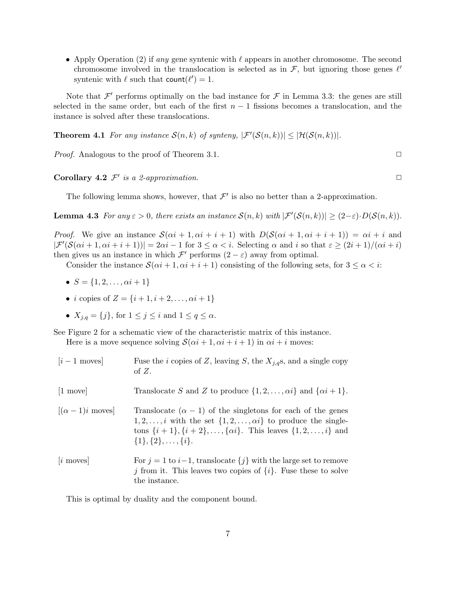• Apply Operation (2) if any gene syntenic with  $\ell$  appears in another chromosome. The second chromosome involved in the translocation is selected as in  $\mathcal{F}$ , but ignoring those genes  $\ell'$ syntenic with  $\ell$  such that  $\text{count}(\ell') = 1$ .

Note that  $\mathcal{F}'$  performs optimally on the bad instance for  $\mathcal F$  in Lemma 3.3: the genes are still selected in the same order, but each of the first  $n - 1$  fissions becomes a translocation, and the instance is solved after these translocations.

**Theorem 4.1** For any instance  $\mathcal{S}(n,k)$  of synteny,  $|\mathcal{F}'(\mathcal{S}(n,k))| \leq |\mathcal{H}(\mathcal{S}(n,k))|$ .

*Proof.* Analogous to the proof of Theorem 3.1.  $\Box$ 

**Corollary 4.2**  $\mathcal{F}'$  is a 2-approximation.

The following lemma shows, however, that  $\mathcal{F}'$  is also no better than a 2-approximation.

**Lemma 4.3** For any  $\varepsilon > 0$ , there exists an instance  $\mathcal{S}(n, k)$  with  $|\mathcal{F}'(\mathcal{S}(n, k))| \geq (2 - \varepsilon) \cdot D(\mathcal{S}(n, k))$ .

*Proof.* We give an instance  $\mathcal{S}(\alpha i + 1, \alpha i + i + 1)$  with  $D(\mathcal{S}(\alpha i + 1, \alpha i + i + 1)) = \alpha i + i$  and  $|\mathcal{F}'(\mathcal{S}(\alpha i + 1, \alpha i + i + 1))| = 2\alpha i - 1$  for  $3 \leq \alpha < i$ . Selecting  $\alpha$  and i so that  $\varepsilon \geq (2i + 1)/(\alpha i + i)$ then gives us an instance in which  $\mathcal{F}'$  performs  $(2 - \varepsilon)$  away from optimal.

Consider the instance  $\mathcal{S}(\alpha i + 1, \alpha i + i + 1)$  consisting of the following sets, for  $3 \leq \alpha < i$ :

- $S = \{1, 2, \ldots, \alpha i + 1\}$
- *i* copies of  $Z = \{i + 1, i + 2, ..., \alpha i + 1\}$
- $X_{i,q} = \{j\}$ , for  $1 \leq j \leq i$  and  $1 \leq q \leq \alpha$ .

See Figure 2 for a schematic view of the characteristic matrix of this instance.

Here is a move sequence solving  $S(\alpha i + 1, \alpha i + i + 1)$  in  $\alpha i + i$  moves:

| $[i-1$ moves           | Fuse the <i>i</i> copies of Z, leaving S, the $X_{i,q}$ s, and a single copy<br>of $Z$ .                                                                                                                                                                                         |
|------------------------|----------------------------------------------------------------------------------------------------------------------------------------------------------------------------------------------------------------------------------------------------------------------------------|
| $[1 \text{ move}]$     | Translocate S and Z to produce $\{1, 2, , \alpha i\}$ and $\{\alpha i + 1\}$ .                                                                                                                                                                                                   |
| $[(\alpha - 1)i$ moves | Translocate $(\alpha - 1)$ of the singletons for each of the genes<br>$1, 2, \ldots, i$ with the set $\{1, 2, \ldots, \alpha i\}$ to produce the single-<br>tons $\{i+1\}, \{i+2\}, \ldots, \{\alpha i\}$ . This leaves $\{1, 2, \ldots, i\}$ and<br>$\{1\},\{2\},\ldots,\{i\}.$ |
| $[i \space moves]$     | For $j = 1$ to $i-1$ , translocate $\{j\}$ with the large set to remove<br>j from it. This leaves two copies of $\{i\}$ . Fuse these to solve<br>the instance.                                                                                                                   |

This is optimal by duality and the component bound.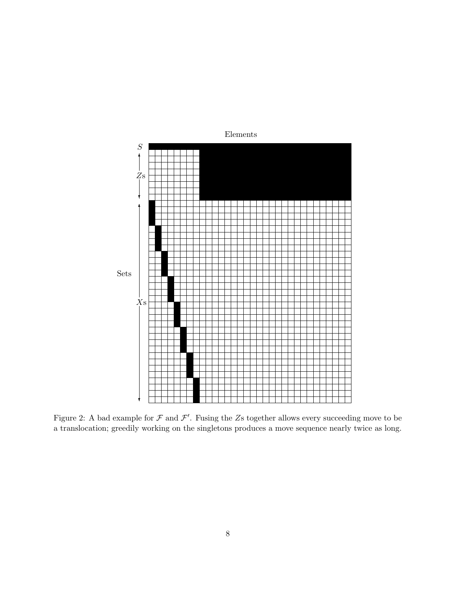

Figure 2: A bad example for  $\mathcal F$  and  $\mathcal F'$ . Fusing the Zs together allows every succeeding move to be a translocation; greedily working on the singletons produces a move sequence nearly twice as long.

Elements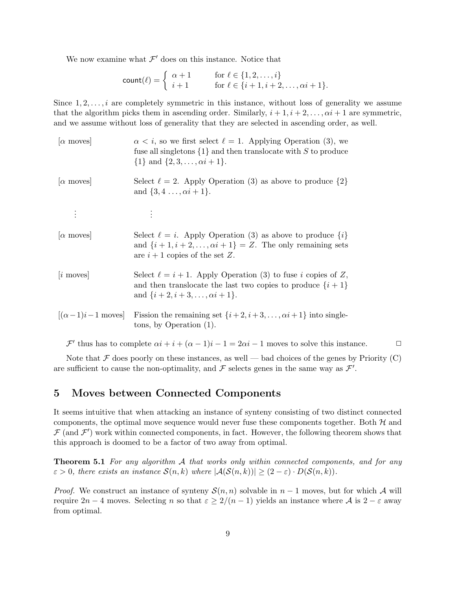We now examine what  $\mathcal{F}'$  does on this instance. Notice that

$$
count(\ell) = \begin{cases} \alpha + 1 & \text{for } \ell \in \{1, 2, \dots, i\} \\ i + 1 & \text{for } \ell \in \{i + 1, i + 2, \dots, \alpha i + 1\}. \end{cases}
$$

Since  $1, 2, \ldots, i$  are completely symmetric in this instance, without loss of generality we assume that the algorithm picks them in ascending order. Similarly,  $i + 1, i + 2, \ldots, \alpha i + 1$  are symmetric, and we assume without loss of generality that they are selected in ascending order, as well.

| $\alpha$ moves           | $\alpha < i$ , so we first select $\ell = 1$ . Applying Operation (3), we<br>fuse all singletons $\{1\}$ and then translocate with S to produce<br>$\{1\}$ and $\{2,3,\ldots,\alpha i+1\}.$ |
|--------------------------|---------------------------------------------------------------------------------------------------------------------------------------------------------------------------------------------|
| $ \alpha \text{ moves} $ | Select $\ell = 2$ . Apply Operation (3) as above to produce $\{2\}$<br>and $\{3, 4, , \alpha i + 1\}.$                                                                                      |
| $\vdots$                 | $\bullet$                                                                                                                                                                                   |
| $\alpha$ moves           | Select $\ell = i$ . Apply Operation (3) as above to produce $\{i\}$<br>and $\{i+1, i+2, \ldots, \alpha i+1\} = Z$ . The only remaining sets<br>are $i+1$ copies of the set Z.               |
| $[i \space moves]$       | Select $\ell = i + 1$ . Apply Operation (3) to fuse i copies of Z,<br>and then translocate the last two copies to produce $\{i+1\}$<br>and $\{i+2, i+3, \ldots, \alpha i+1\}.$              |
| $[(\alpha-1)i-1$ moves   | Fission the remaining set $\{i+2, i+3, \ldots, \alpha i+1\}$ into single-<br>tons, by Operation $(1)$ .                                                                                     |

 $\mathcal{F}'$  thus has to complete  $\alpha i + i + (\alpha - 1)i - 1 = 2\alpha i - 1$  moves to solve this instance.  $\Box$ 

Note that  $\mathcal F$  does poorly on these instances, as well — bad choices of the genes by Priority (C) are sufficient to cause the non-optimality, and  $\mathcal F$  selects genes in the same way as  $\mathcal F'$ .

# 5 Moves between Connected Components

It seems intuitive that when attacking an instance of synteny consisting of two distinct connected components, the optimal move sequence would never fuse these components together. Both  $H$  and  $\mathcal{F}$  (and  $\mathcal{F}'$ ) work within connected components, in fact. However, the following theorem shows that this approach is doomed to be a factor of two away from optimal.

**Theorem 5.1** For any algorithm  $\mathcal A$  that works only within connected components, and for any  $\varepsilon > 0$ , there exists an instance  $\mathcal{S}(n,k)$  where  $|\mathcal{A}(\mathcal{S}(n,k))| \geq (2-\varepsilon) \cdot D(\mathcal{S}(n,k)).$ 

*Proof.* We construct an instance of synteny  $S(n, n)$  solvable in  $n - 1$  moves, but for which A will require  $2n-4$  moves. Selecting n so that  $\varepsilon \geq 2/(n-1)$  yields an instance where A is  $2-\varepsilon$  away from optimal.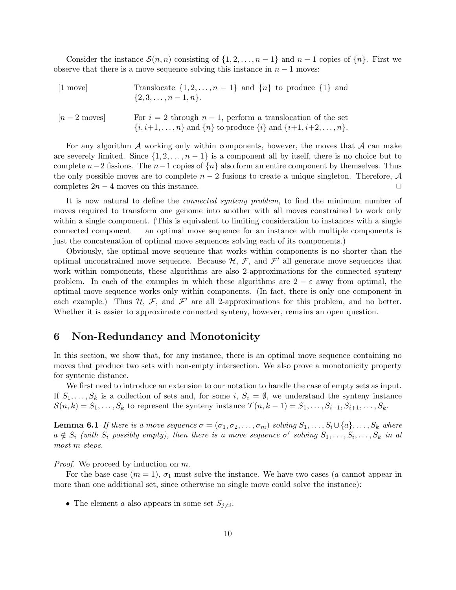Consider the instance  $\mathcal{S}(n,n)$  consisting of  $\{1, 2, \ldots, n-1\}$  and  $n-1$  copies of  $\{n\}$ . First we observe that there is a move sequence solving this instance in  $n - 1$  moves:

| $[1 \text{ move}]$ | Translocate $\{1, 2, , n-1\}$ and $\{n\}$ to produce $\{1\}$ and<br>$\{2,3,\ldots,n-1,n\}.$                                                                |
|--------------------|------------------------------------------------------------------------------------------------------------------------------------------------------------|
| $[n-2$ moves       | For $i = 2$ through $n - 1$ , perform a translocation of the set<br>$\{i, i+1, \ldots, n\}$ and $\{n\}$ to produce $\{i\}$ and $\{i+1, i+2, \ldots, n\}$ . |

For any algorithm  $\mathcal A$  working only within components, however, the moves that  $\mathcal A$  can make are severely limited. Since  $\{1, 2, \ldots, n-1\}$  is a component all by itself, there is no choice but to complete  $n-2$  fissions. The  $n-1$  copies of  $\{n\}$  also form an entire component by themselves. Thus the only possible moves are to complete  $n-2$  fusions to create a unique singleton. Therefore,  $\mathcal A$ completes  $2n - 4$  moves on this instance.  $\Box$ 

It is now natural to define the *connected synteny problem*, to find the minimum number of moves required to transform one genome into another with all moves constrained to work only within a single component. (This is equivalent to limiting consideration to instances with a single connected component — an optimal move sequence for an instance with multiple components is just the concatenation of optimal move sequences solving each of its components.)

Obviously, the optimal move sequence that works within components is no shorter than the optimal unconstrained move sequence. Because  $H, \mathcal{F}$ , and  $\mathcal{F}'$  all generate move sequences that work within components, these algorithms are also 2-approximations for the connected synteny problem. In each of the examples in which these algorithms are  $2 - \varepsilon$  away from optimal, the optimal move sequence works only within components. (In fact, there is only one component in each example.) Thus  $H, \mathcal{F}$ , and  $\mathcal{F}'$  are all 2-approximations for this problem, and no better. Whether it is easier to approximate connected synteny, however, remains an open question.

# 6 Non-Redundancy and Monotonicity

In this section, we show that, for any instance, there is an optimal move sequence containing no moves that produce two sets with non-empty intersection. We also prove a monotonicity property for syntenic distance.

We first need to introduce an extension to our notation to handle the case of empty sets as input. If  $S_1, \ldots, S_k$  is a collection of sets and, for some i,  $S_i = \emptyset$ , we understand the synteny instance  $S(n, k) = S_1, \ldots, S_k$  to represent the synteny instance  $\mathcal{T}(n, k-1) = S_1, \ldots, S_{i-1}, S_{i+1}, \ldots, S_k$ .

**Lemma 6.1** If there is a move sequence  $\sigma = (\sigma_1, \sigma_2, \ldots, \sigma_m)$  solving  $S_1, \ldots, S_i \cup \{a\}, \ldots, S_k$  where  $a \notin S_i$  (with  $S_i$  possibly empty), then there is a move sequence  $\sigma'$  solving  $S_1, \ldots, S_i, \ldots, S_k$  in at most m steps.

Proof. We proceed by induction on m.

For the base case  $(m = 1)$ ,  $\sigma_1$  must solve the instance. We have two cases (a cannot appear in more than one additional set, since otherwise no single move could solve the instance):

• The element a also appears in some set  $S_{j\neq i}$ .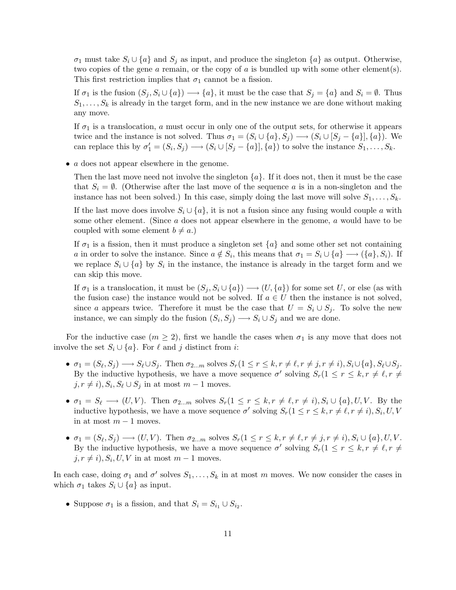$\sigma_1$  must take  $S_i \cup \{a\}$  and  $S_j$  as input, and produce the singleton  $\{a\}$  as output. Otherwise, two copies of the gene  $a$  remain, or the copy of  $a$  is bundled up with some other element(s). This first restriction implies that  $\sigma_1$  cannot be a fission.

If  $\sigma_1$  is the fusion  $(S_j, S_i \cup \{a\}) \longrightarrow \{a\}$ , it must be the case that  $S_j = \{a\}$  and  $S_i = \emptyset$ . Thus  $S_1, \ldots, S_k$  is already in the target form, and in the new instance we are done without making any move.

If  $\sigma_1$  is a translocation, a must occur in only one of the output sets, for otherwise it appears twice and the instance is not solved. Thus  $\sigma_1 = (S_i \cup \{a\}, S_j) \longrightarrow (S_i \cup [S_j - \{a\}], \{a\})$ . We can replace this by  $\sigma'_1 = (S_i, S_j) \longrightarrow (S_i \cup [S_j - \{a\}], \{a\})$  to solve the instance  $S_1, \ldots, S_k$ .

• *a* does not appear elsewhere in the genome.

Then the last move need not involve the singleton  $\{a\}$ . If it does not, then it must be the case that  $S_i = \emptyset$ . (Otherwise after the last move of the sequence a is in a non-singleton and the instance has not been solved.) In this case, simply doing the last move will solve  $S_1, \ldots, S_k$ .

If the last move does involve  $S_i \cup \{a\}$ , it is not a fusion since any fusing would couple a with some other element. (Since a does not appear elsewhere in the genome, a would have to be coupled with some element  $b \neq a$ .)

If  $\sigma_1$  is a fission, then it must produce a singleton set  $\{a\}$  and some other set not containing a in order to solve the instance. Since  $a \notin S_i$ , this means that  $\sigma_1 = S_i \cup \{a\} \longrightarrow (\{a\}, S_i)$ . If we replace  $S_i \cup \{a\}$  by  $S_i$  in the instance, the instance is already in the target form and we can skip this move.

If  $\sigma_1$  is a translocation, it must be  $(S_j, S_i \cup \{a\}) \longrightarrow (U, \{a\})$  for some set U, or else (as with the fusion case) the instance would not be solved. If  $a \in U$  then the instance is not solved, since a appears twice. Therefore it must be the case that  $U = S_i \cup S_j$ . To solve the new instance, we can simply do the fusion  $(S_i, S_j) \longrightarrow S_i \cup S_j$  and we are done.

For the inductive case  $(m \geq 2)$ , first we handle the cases when  $\sigma_1$  is any move that does not involve the set  $S_i \cup \{a\}$ . For  $\ell$  and j distinct from i:

- $\sigma_1 = (S_\ell, S_j) \longrightarrow S_\ell \cup S_j$ . Then  $\sigma_{2...m}$  solves  $S_r(1 \leq r \leq k, r \neq \ell, r \neq j, r \neq i), S_i \cup \{a\}, S_\ell \cup S_j$ . By the inductive hypothesis, we have a move sequence  $\sigma'$  solving  $S_r(1 \leq r \leq k, r \neq \ell, r \neq \ell)$  $j, r \neq i$ ,  $S_i, S_\ell \cup S_j$  in at most  $m - 1$  moves.
- $\sigma_1 = S_\ell \longrightarrow (U, V)$ . Then  $\sigma_{2...m}$  solves  $S_r(1 \leq r \leq k, r \neq \ell, r \neq i), S_i \cup \{a\}, U, V$ . By the inductive hypothesis, we have a move sequence  $\sigma'$  solving  $S_r(1 \leq r \leq k, r \neq \ell, r \neq i), S_i, U, V$ in at most  $m-1$  moves.
- $\sigma_1 = (S_\ell, S_j) \longrightarrow (U, V)$ . Then  $\sigma_{2...m}$  solves  $S_r(1 \leq r \leq k, r \neq \ell, r \neq j, r \neq i)$ ,  $S_i \cup \{a\}, U, V$ . By the inductive hypothesis, we have a move sequence  $\sigma'$  solving  $S_r(1 \leq r \leq k, r \neq \ell, r \neq \ell)$  $j, r \neq i$ ,  $S_i, U, V$  in at most  $m - 1$  moves.

In each case, doing  $\sigma_1$  and  $\sigma'$  solves  $S_1, \ldots, S_k$  in at most m moves. We now consider the cases in which  $\sigma_1$  takes  $S_i \cup \{a\}$  as input.

• Suppose  $\sigma_1$  is a fission, and that  $S_i = S_{i_1} \cup S_{i_2}$ .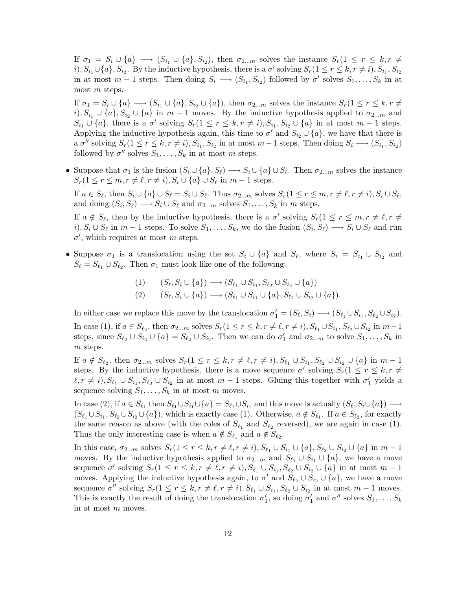If  $\sigma_1 = S_i \cup \{a\} \longrightarrow (S_{i_1} \cup \{a\}, S_{i_2})$ , then  $\sigma_{2...m}$  solves the instance  $S_r(1 \leq r \leq k, r \neq 0)$  $i)$ ,  $S_{i_1} \cup \{a\}$ ,  $S_{i_2}$ . By the inductive hypothesis, there is a  $\sigma'$  solving  $S_r(1 \leq r \leq k, r \neq i)$ ,  $S_{i_1}$ ,  $S_{i_2}$ in at most  $m-1$  steps. Then doing  $S_i \longrightarrow (S_{i_1}, S_{i_2})$  followed by  $\sigma'$  solves  $S_1, \ldots, S_k$  in at most m steps.

If  $\sigma_1 = S_i \cup \{a\} \longrightarrow (S_{i_1} \cup \{a\}, S_{i_2} \cup \{a\})$ , then  $\sigma_{2...m}$  solves the instance  $S_r(1 \leq r \leq k, r \neq 0)$ i),  $S_{i_1} \cup \{a\}$ ,  $S_{i_2} \cup \{a\}$  in  $m-1$  moves. By the inductive hypothesis applied to  $\sigma_{2...m}$  and  $S_{i_1} \cup \{a\}$ , there is a  $\sigma'$  solving  $S_r(1 \leq r \leq k, r \neq i), S_{i_1}, S_{i_2} \cup \{a\}$  in at most  $m-1$  steps. Applying the inductive hypothesis again, this time to  $\sigma'$  and  $S_{i_2} \cup \{a\}$ , we have that there is a  $\sigma''$  solving  $S_r(1 \leq r \leq k, r \neq i), S_{i_1}, S_{i_2}$  in at most  $m-1$  steps. Then doing  $S_i \longrightarrow (S_{i_1}, S_{i_2})$ followed by  $\sigma''$  solves  $S_1, \ldots, S_k$  in at most m steps.

• Suppose that  $\sigma_1$  is the fusion  $(S_i \cup \{a\}, S_\ell) \longrightarrow S_i \cup \{a\} \cup S_\ell$ . Then  $\sigma_{2...m}$  solves the instance  $S_r(1 \leq r \leq m, r \neq \ell, r \neq i), S_i \cup \{a\} \cup S_{\ell}$  in  $m-1$  steps.

If  $a \in S_\ell$ , then  $S_i \cup \{a\} \cup S_\ell = S_i \cup S_\ell$ . Thus  $\sigma_{2...m}$  solves  $S_r(1 \leq r \leq m, r \neq \ell, r \neq i), S_i \cup S_\ell$ , and doing  $(S_i, S_\ell) \longrightarrow S_i \cup S_\ell$  and  $\sigma_{2...m}$  solves  $S_1, \ldots, S_k$  in m steps.

If  $a \notin S_{\ell}$ , then by the inductive hypothesis, there is a  $\sigma'$  solving  $S_r(1 \leq r \leq m, r \neq \ell, r \neq \ell)$  $i)$ ,  $S_i \cup S_\ell$  in  $m-1$  steps. To solve  $S_1, \ldots, S_k$ , we do the fusion  $(S_i, S_\ell) \longrightarrow S_i \cup S_\ell$  and run  $\sigma'$ , which requires at most m steps.

• Suppose  $\sigma_1$  is a translocation using the set  $S_i \cup \{a\}$  and  $S_\ell$ , where  $S_i = S_{i_1} \cup S_{i_2}$  and  $S_{\ell} = S_{\ell_1} \cup S_{\ell_2}$ . Then  $\sigma_1$  must look like one of the following:

$$
(1) \qquad (S_{\ell}, S_i \cup \{a\}) \longrightarrow (S_{\ell_1} \cup S_{i_1}, S_{\ell_2} \cup S_{i_2} \cup \{a\})
$$

$$
(2) \qquad (S_{\ell}, S_i \cup \{a\}) \longrightarrow (S_{\ell_1} \cup S_{i_1} \cup \{a\}, S_{\ell_2} \cup S_{i_2} \cup \{a\}).
$$

In either case we replace this move by the translocation  $\sigma'_1 = (S_\ell, S_i) \longrightarrow (S_{\ell_1} \cup S_{i_1}, S_{\ell_2} \cup S_{i_2}).$ In case (1), if  $a \in S_{\ell_2}$ , then  $\sigma_{2...m}$  solves  $S_r(1 \leq r \leq k, r \neq \ell, r \neq i)$ ,  $S_{\ell_1} \cup S_{i_1}$ ,  $S_{\ell_2} \cup S_{i_2}$  in  $m-1$ steps, since  $S_{\ell_2} \cup S_{i_2} \cup \{a\} = S_{\ell_2} \cup S_{i_2}$ . Then we can do  $\sigma'_1$  and  $\sigma_{2...m}$  to solve  $S_1, \ldots, S_k$  in m steps.

If  $a \notin S_{\ell_2}$ , then  $\sigma_{2...m}$  solves  $S_r(1 \leq r \leq k, r \neq \ell, r \neq i), S_{\ell_1} \cup S_{i_1}, S_{\ell_2} \cup S_{i_2} \cup \{a\}$  in  $m-1$ steps. By the inductive hypothesis, there is a move sequence  $\sigma'$  solving  $S_r(1 \leq r \leq k, r \neq 0)$  $\ell, r \neq i$ ,  $S_{\ell_1} \cup S_{i_1}, S_{\ell_2} \cup S_{i_2}$  in at most  $m-1$  steps. Gluing this together with  $\sigma'_1$  yields a sequence solving  $S_1, \ldots, S_k$  in at most m moves.

In case (2), if  $a \in S_{\ell_1}$  then  $S_{\ell_1} \cup S_{i_1} \cup \{a\} = S_{\ell_1} \cup S_{i_1}$  and this move is actually  $(S_{\ell}, S_i \cup \{a\}) \longrightarrow$  $(S_{\ell_1} \cup S_{i_1}, S_{\ell_2} \cup S_{i_2} \cup \{a\})$ , which is exactly case (1). Otherwise,  $a \notin S_{\ell_1}$ . If  $a \in S_{\ell_2}$ , for exactly the same reason as above (with the roles of  $S_{\ell_1}$  and  $S_{\ell_2}$  reversed), we are again in case (1). Thus the only interesting case is when  $a \notin S_{\ell_1}$  and  $a \notin S_{\ell_2}$ .

In this case,  $\sigma_{2...m}$  solves  $S_r(1 \leq r \leq k, r \neq \ell, r \neq i)$ ,  $S_{\ell_1} \cup S_{i_1} \cup \{a\}$ ,  $S_{\ell_2} \cup S_{i_2} \cup \{a\}$  in  $m-1$ moves. By the inductive hypothesis applied to  $\sigma_{2...m}$  and  $S_{\ell_1} \cup S_{i_1} \cup \{a\}$ , we have a move sequence  $\sigma'$  solving  $S_r(1 \leq r \leq k, r \neq \ell, r \neq i), S_{\ell_1} \cup S_{i_1}, S_{\ell_2} \cup S_{i_2} \cup \{a\}$  in at most  $m-1$ moves. Applying the inductive hypothesis again, to  $\sigma'$  and  $S_{\ell_2} \cup S_{i_2} \cup \{a\}$ , we have a move sequence  $\sigma''$  solving  $S_r(1 \leq r \leq k, r \neq \ell, r \neq i), S_{\ell_1} \cup S_{i_1}, S_{\ell_2} \cup S_{i_2}$  in at most  $m-1$  moves. This is exactly the result of doing the translocation  $\sigma'_1$ , so doing  $\sigma'_1$  and  $\sigma''$  solves  $S_1, \ldots, S_k$ in at most m moves.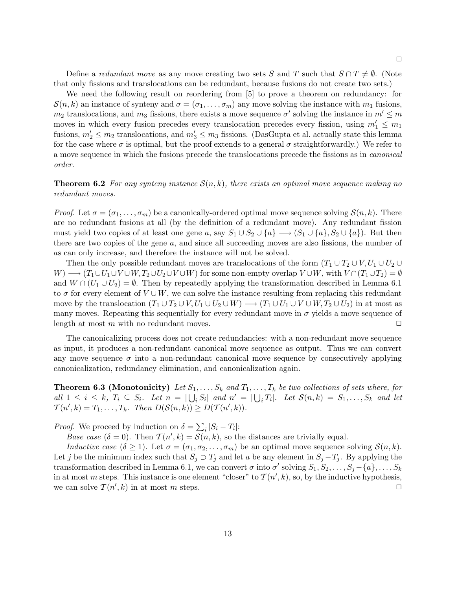Define a *redundant move* as any move creating two sets S and T such that  $S \cap T \neq \emptyset$ . (Note that only fissions and translocations can be redundant, because fusions do not create two sets.)

We need the following result on reordering from [5] to prove a theorem on redundancy: for  $\mathcal{S}(n, k)$  an instance of synteny and  $\sigma = (\sigma_1, \ldots, \sigma_m)$  any move solving the instance with  $m_1$  fusions,  $m_2$  translocations, and  $m_3$  fissions, there exists a move sequence  $\sigma'$  solving the instance in  $m' \le m$ moves in which every fusion precedes every translocation precedes every fission, using  $m'_1 \le m_1$ fusions,  $m'_2 \le m_2$  translocations, and  $m'_3 \le m_3$  fissions. (DasGupta et al. actually state this lemma for the case where  $\sigma$  is optimal, but the proof extends to a general  $\sigma$  straightforwardly.) We refer to a move sequence in which the fusions precede the translocations precede the fissions as in canonical order.

**Theorem 6.2** For any synteny instance  $\mathcal{S}(n, k)$ , there exists an optimal move sequence making no redundant moves.

*Proof.* Let  $\sigma = (\sigma_1, \ldots, \sigma_m)$  be a canonically-ordered optimal move sequence solving  $S(n, k)$ . There are no redundant fusions at all (by the definition of a redundant move). Any redundant fission must yield two copies of at least one gene a, say  $S_1 \cup S_2 \cup \{a\} \longrightarrow (S_1 \cup \{a\}, S_2 \cup \{a\})$ . But then there are two copies of the gene a, and since all succeeding moves are also fissions, the number of as can only increase, and therefore the instance will not be solved.

Then the only possible redundant moves are translocations of the form  $(T_1 \cup T_2 \cup V, U_1 \cup U_2 \cup V)$  $W \rightarrow (T_1 \cup U_1 \cup V \cup W, T_2 \cup U_2 \cup V \cup W)$  for some non-empty overlap  $V \cup W$ , with  $V \cap (T_1 \cup T_2) = \emptyset$ and  $W \cap (U_1 \cup U_2) = \emptyset$ . Then by repeatedly applying the transformation described in Lemma 6.1 to  $\sigma$  for every element of  $V \cup W$ , we can solve the instance resulting from replacing this redundant move by the translocation  $(T_1 \cup T_2 \cup V, U_1 \cup U_2 \cup W) \longrightarrow (T_1 \cup U_1 \cup V \cup W, T_2 \cup U_2)$  in at most as many moves. Repeating this sequentially for every redundant move in  $\sigma$  yields a move sequence of length at most m with no redundant moves.  $\Box$ 

The canonicalizing process does not create redundancies: with a non-redundant move sequence as input, it produces a non-redundant canonical move sequence as output. Thus we can convert any move sequence  $\sigma$  into a non-redundant canonical move sequence by consecutively applying canonicalization, redundancy elimination, and canonicalization again.

**Theorem 6.3 (Monotonicity)** Let  $S_1, \ldots, S_k$  and  $T_1, \ldots, T_k$  be two collections of sets where, for all  $1 \leq i \leq k$ ,  $T_i \subseteq S_i$ . Let  $n = |\bigcup_i S_i|$  and  $n' = |\bigcup_i T_i|$ . Let  $\mathcal{S}(n,k) = S_1, \ldots, S_k$  and let  $T(n',k) = T_1, \ldots, T_k$ . Then  $D(S(n,k)) \geq D(\mathcal{T}(n',k)).$ 

*Proof.* We proceed by induction on  $\delta = \sum_i |S_i - T_i|$ :

Base case  $(\delta = 0)$ . Then  $\mathcal{T}(n',k) = \mathcal{S}(n,k)$ , so the distances are trivially equal.

Inductive case  $(\delta \geq 1)$ . Let  $\sigma = (\sigma_1, \sigma_2, \ldots, \sigma_m)$  be an optimal move sequence solving  $\mathcal{S}(n, k)$ . Let j be the minimum index such that  $S_j \supset T_j$  and let a be any element in  $S_j - T_j$ . By applying the transformation described in Lemma 6.1, we can convert  $\sigma$  into  $\sigma'$  solving  $S_1, S_2, \ldots, S_j - \{a\}, \ldots, S_k$ in at most m steps. This instance is one element "closer" to  $\mathcal{T}(n',k)$ , so, by the inductive hypothesis, we can solve  $\mathcal{T}(n',k)$  in at most m steps.

13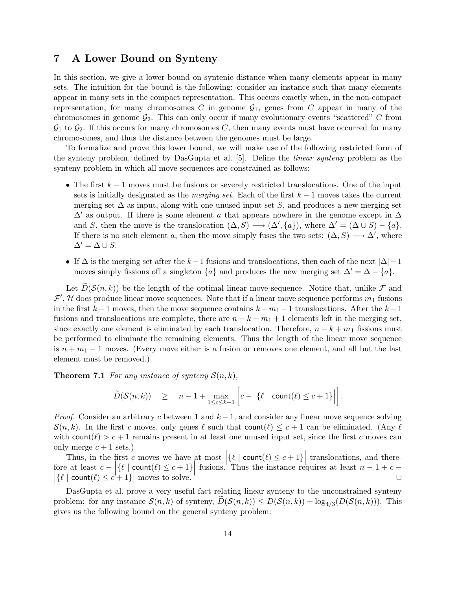# 7 A Lower Bound on Synteny

In this section, we give a lower bound on syntenic distance when many elements appear in many sets. The intuition for the bound is the following: consider an instance such that many elements appear in many sets in the compact representation. This occurs exactly when, in the non-compact representation, for many chromosomes C in genome  $\mathcal{G}_1$ , genes from C appear in many of the chromosomes in genome  $\mathcal{G}_2$ . This can only occur if many evolutionary events "scattered" C from  $\mathcal{G}_1$  to  $\mathcal{G}_2$ . If this occurs for many chromosomes C, then many events must have occurred for many chromosomes, and thus the distance between the genomes must be large.

To formalize and prove this lower bound, we will make use of the following restricted form of the synteny problem, defined by DasGupta et al. [5]. Define the linear synteny problem as the synteny problem in which all move sequences are constrained as follows:

- The first  $k-1$  moves must be fusions or severely restricted translocations. One of the input sets is initially designated as the *merging set*. Each of the first  $k - 1$  moves takes the current merging set  $\Delta$  as input, along with one unused input set S, and produces a new merging set  $\Delta'$  as output. If there is some element a that appears nowhere in the genome except in  $\Delta$ and S, then the move is the translocation  $(\Delta, S) \longrightarrow (\Delta', \{a\})$ , where  $\Delta' = (\Delta \cup S) - \{a\}.$ If there is no such element a, then the move simply fuses the two sets:  $(\Delta, S) \longrightarrow \Delta'$ , where  $\Delta' = \Delta \cup S$ .
- If  $\Delta$  is the merging set after the k 1 fusions and translocations, then each of the next  $|\Delta|$  1 moves simply fissions off a singleton  $\{a\}$  and produces the new merging set  $\Delta' = \Delta - \{a\}$ .

Let  $\widetilde{D}(\mathcal{S}(n,k))$  be the length of the optimal linear move sequence. Notice that, unlike  $\mathcal F$  and  $\mathcal{F}', \mathcal{H}$  does produce linear move sequences. Note that if a linear move sequence performs  $m_1$  fusions in the first  $k-1$  moves, then the move sequence contains  $k-m_1-1$  translocations. After the  $k-1$ fusions and translocations are complete, there are  $n - k + m_1 + 1$  elements left in the merging set, since exactly one element is eliminated by each translocation. Therefore,  $n - k + m_1$  fissions must be performed to eliminate the remaining elements. Thus the length of the linear move sequence is  $n + m_1 - 1$  moves. (Every move either is a fusion or removes one element, and all but the last element must be removed.)

**Theorem 7.1** For any instance of synteny  $S(n, k)$ ,

$$
\widetilde{D}(\mathcal{S}(n,k)) \quad \geq \quad n-1 + \max_{1 \leq c \leq k-1} \left[ c - \left| \{ \ell \mid \text{count}(\ell) \leq c+1 \} \right| \right].
$$

*Proof.* Consider an arbitrary c between 1 and  $k - 1$ , and consider any linear move sequence solving  $\mathcal{S}(n, k)$ . In the first c moves, only genes  $\ell$  such that count $(\ell) \leq c + 1$  can be eliminated. (Any  $\ell$ with count  $(\ell) > c + 1$  remains present in at least one unused input set, since the first c moves can only merge  $c + 1$  sets.)

Thus, in the first c moves we have at most  $\left|\{\ell \mid \text{count}(\ell) \leq c + 1\}\right|$  translocations, and therefore at least  $c - \left| \{ \ell \mid \text{count}(\ell) \leq c + 1 \} \right|$  fusions. Thus the instance requires at least  $n - 1 + c \left| \{\ell \mid \text{count}(\ell) \leq c + 1\} \right|$  moves to solve.

DasGupta et al. prove a very useful fact relating linear synteny to the unconstrained synteny problem: for any instance  $\mathcal{S}(n,k)$  of synteny,  $D(\mathcal{S}(n,k)) \leq D(\mathcal{S}(n,k)) + \log_{4/3}(D(\mathcal{S}(n,k)))$ . This gives us the following bound on the general synteny problem: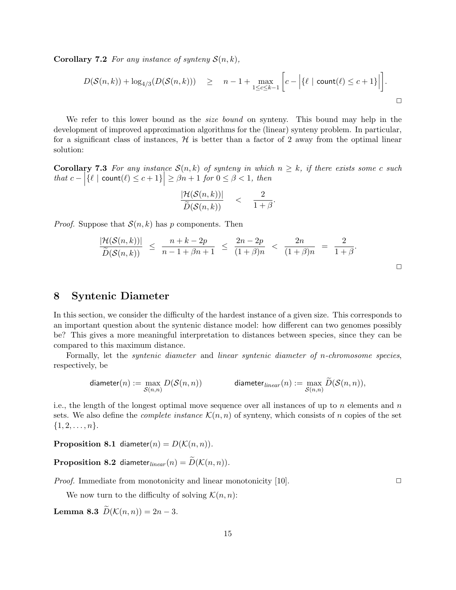**Corollary 7.2** For any instance of synteny  $S(n, k)$ ,

$$
D(\mathcal{S}(n,k)) + \log_{4/3}(D(\mathcal{S}(n,k))) \geq n-1 + \max_{1 \leq c \leq k-1} \left[ c - \left| \{ \ell \mid \text{count}(\ell) \leq c+1 \} \right| \right].
$$

We refer to this lower bound as the *size bound* on synteny. This bound may help in the development of improved approximation algorithms for the (linear) synteny problem. In particular, for a significant class of instances,  $H$  is better than a factor of 2 away from the optimal linear solution:

**Corollary 7.3** For any instance  $\mathcal{S}(n,k)$  of synteny in which  $n \geq k$ , if there exists some c such  $\text{that } c - \left| \{ \ell \mid \text{count}(\ell) \leq c + 1 \} \right| \geq \beta n + 1 \text{ for } 0 \leq \beta < 1, \text{ then}$ 

$$
\frac{|\mathcal{H}(\mathcal{S}(n,k))|}{\widetilde{D}(\mathcal{S}(n,k))} \quad < \quad \frac{2}{1+\beta}
$$

*Proof.* Suppose that  $S(n, k)$  has p components. Then

$$
\frac{|\mathcal{H}(\mathcal{S}(n,k))|}{\widetilde{D}(\mathcal{S}(n,k))} \ \leq \ \frac{n+k-2p}{n-1+\beta n+1} \ \leq \ \frac{2n-2p}{(1+\beta)n} \ < \ \frac{2n}{(1+\beta)n} \ = \ \frac{2}{1+\beta}.
$$

.

# 8 Syntenic Diameter

In this section, we consider the difficulty of the hardest instance of a given size. This corresponds to an important question about the syntenic distance model: how different can two genomes possibly be? This gives a more meaningful interpretation to distances between species, since they can be compared to this maximum distance.

Formally, let the syntenic diameter and linear syntenic diameter of n-chromosome species, respectively, be

$$
\text{diameter}(n) := \max_{\mathcal{S}(n,n)} D(\mathcal{S}(n,n)) \qquad \qquad \text{diameter}_{\text{linear}}(n) := \max_{\mathcal{S}(n,n)} \widetilde{D}(\mathcal{S}(n,n)),
$$

i.e., the length of the longest optimal move sequence over all instances of up to n elements and  $n$ sets. We also define the *complete instance*  $\mathcal{K}(n, n)$  of synteny, which consists of n copies of the set  $\{1, 2, \ldots, n\}.$ 

**Proposition 8.1** diameter(n) =  $D(K(n, n))$ .

**Proposition 8.2** diameter<sub>linear</sub> $(n) = \widetilde{D}(\mathcal{K}(n, n)).$ 

*Proof.* Immediate from monotonicity and linear monotonicity [10].  $\Box$ 

 $\Box$ 

We now turn to the difficulty of solving  $\mathcal{K}(n, n)$ :

Lemma 8.3  $\widetilde{D}(\mathcal{K}(n,n)) = 2n-3$ .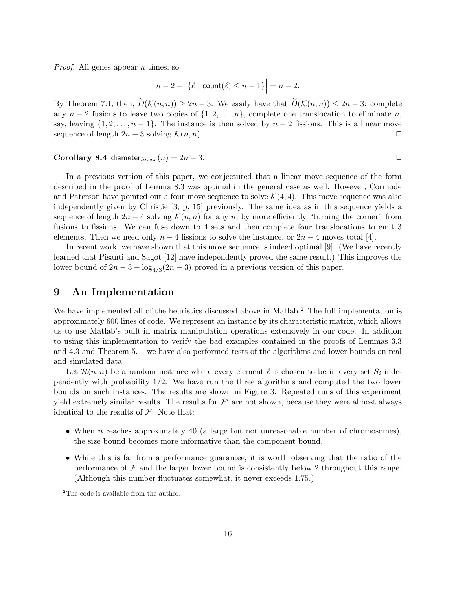*Proof.* All genes appear  $n$  times, so

$$
n-2-\Big|\{\ell\mid \mathsf{count}(\ell)\leq n-1\}\Big|=n-2.
$$

By Theorem 7.1, then,  $\widetilde{D}(\mathcal{K}(n,n)) \geq 2n-3$ . We easily have that  $\widetilde{D}(\mathcal{K}(n,n)) \leq 2n-3$ : complete any  $n-2$  fusions to leave two copies of  $\{1, 2, \ldots, n\}$ , complete one translocation to eliminate n, say, leaving  $\{1, 2, \ldots, n-1\}$ . The instance is then solved by  $n-2$  fissions. This is a linear move sequence of length  $2n-3$  solving  $\mathcal{K}(n, n)$ .  $\Box$ 

#### Corollary 8.4 diameter<sub>linear</sub>  $(n) = 2n - 3$ .

In a previous version of this paper, we conjectured that a linear move sequence of the form described in the proof of Lemma 8.3 was optimal in the general case as well. However, Cormode and Paterson have pointed out a four move sequence to solve  $\mathcal{K}(4, 4)$ . This move sequence was also independently given by Christie [3, p. 15] previously. The same idea as in this sequence yields a sequence of length  $2n-4$  solving  $\mathcal{K}(n,n)$  for any n, by more efficiently "turning the corner" from fusions to fissions. We can fuse down to 4 sets and then complete four translocations to emit 3 elements. Then we need only  $n-4$  fissions to solve the instance, or  $2n-4$  moves total [4].

In recent work, we have shown that this move sequence is indeed optimal [9]. (We have recently learned that Pisanti and Sagot [12] have independently proved the same result.) This improves the lower bound of  $2n - 3 - \log_{4/3}(2n - 3)$  proved in a previous version of this paper.

# 9 An Implementation

We have implemented all of the heuristics discussed above in Matlab.<sup>2</sup> The full implementation is approximately 600 lines of code. We represent an instance by its characteristic matrix, which allows us to use Matlab's built-in matrix manipulation operations extensively in our code. In addition to using this implementation to verify the bad examples contained in the proofs of Lemmas 3.3 and 4.3 and Theorem 5.1, we have also performed tests of the algorithms and lower bounds on real and simulated data.

Let  $\mathcal{R}(n,n)$  be a random instance where every element  $\ell$  is chosen to be in every set  $S_i$  independently with probability 1/2. We have run the three algorithms and computed the two lower bounds on such instances. The results are shown in Figure 3. Repeated runs of this experiment yield extremely similar results. The results for  $\mathcal{F}'$  are not shown, because they were almost always identical to the results of  $\mathcal F$ . Note that:

- When  $n$  reaches approximately 40 (a large but not unreasonable number of chromosomes), the size bound becomes more informative than the component bound.
- While this is far from a performance guarantee, it is worth observing that the ratio of the performance of  $\mathcal F$  and the larger lower bound is consistently below 2 throughout this range. (Although this number fluctuates somewhat, it never exceeds 1.75.)

<sup>&</sup>lt;sup>2</sup>The code is available from the author.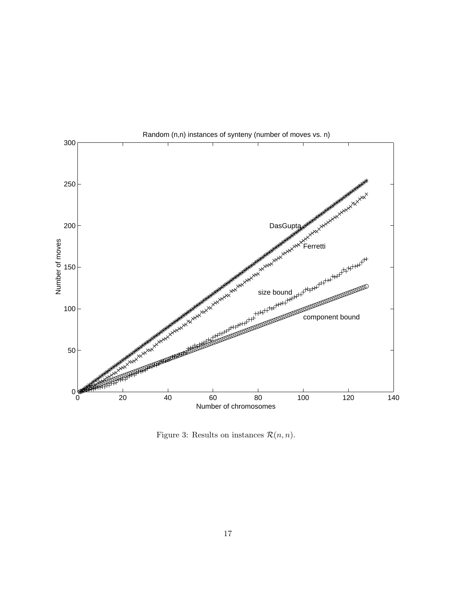

Figure 3: Results on instances  $\mathcal{R}(n, n)$ .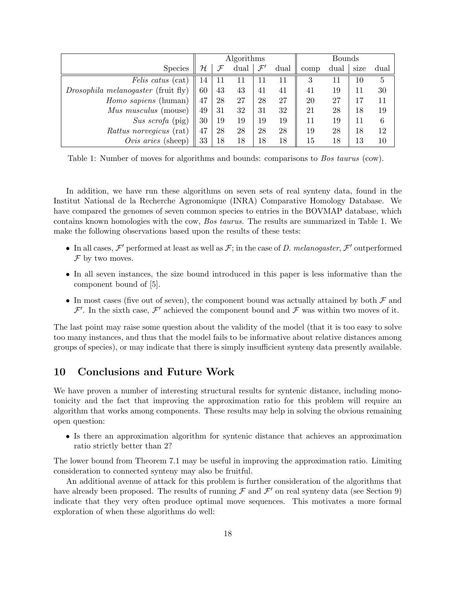|                                            | Algorithms |    |                     |    |      | <b>Bounds</b> |      |      |      |
|--------------------------------------------|------------|----|---------------------|----|------|---------------|------|------|------|
| <b>Species</b>                             | ${\cal H}$ | F  | dual $\mathcal{F}'$ |    | dual | comp          | dual | size | dual |
| <i>Felis catus</i> (cat)                   | 14         |    | 11                  |    | 11   | 3             | 11   | 10   | 5    |
| <i>Drosophila melanogaster</i> (fruit fly) | 60         | 43 | 43                  | 41 | 41   | 41            | 19   | 11   | 30   |
| Homo sapiens (human)                       | 47         | 28 | 27                  | 28 | 27   | 20            | 27   |      |      |
| <i>Mus musculus</i> (mouse)                | 49         | 31 | 32                  | 31 | 32   | 21            | 28   | 18   | 19   |
| Sus scrofa (pig)                           | 30         | 19 | 19                  | 19 | 19   | 11            | 19   | 11   | 6    |
| <i>Rattus norvegicus</i> (rat)             | 47         | 28 | 28                  | 28 | 28   | 19            | 28   | 18   | 12   |
| Ovis aries (sheep)                         | 33         | 18 | 18                  | 18 | 18   | 15            | 18   | 13   | 10   |

Table 1: Number of moves for algorithms and bounds: comparisons to Bos taurus (cow).

In addition, we have run these algorithms on seven sets of real synteny data, found in the Institut National de la Recherche Agronomique (INRA) Comparative Homology Database. We have compared the genomes of seven common species to entries in the BOVMAP database, which contains known homologies with the cow, Bos taurus. The results are summarized in Table 1. We make the following observations based upon the results of these tests:

- In all cases,  $\mathcal{F}'$  performed at least as well as  $\mathcal{F}$ ; in the case of D. melanogaster,  $\mathcal{F}'$  outperformed  $\mathcal F$  by two moves.
- In all seven instances, the size bound introduced in this paper is less informative than the component bound of [5].
- In most cases (five out of seven), the component bound was actually attained by both  $\mathcal F$  and  $\mathcal{F}'$ . In the sixth case,  $\mathcal{F}'$  achieved the component bound and  $\mathcal{F}$  was within two moves of it.

The last point may raise some question about the validity of the model (that it is too easy to solve too many instances, and thus that the model fails to be informative about relative distances among groups of species), or may indicate that there is simply insufficient synteny data presently available.

# 10 Conclusions and Future Work

We have proven a number of interesting structural results for syntenic distance, including monotonicity and the fact that improving the approximation ratio for this problem will require an algorithm that works among components. These results may help in solving the obvious remaining open question:

• Is there an approximation algorithm for syntenic distance that achieves an approximation ratio strictly better than 2?

The lower bound from Theorem 7.1 may be useful in improving the approximation ratio. Limiting consideration to connected synteny may also be fruitful.

An additional avenue of attack for this problem is further consideration of the algorithms that have already been proposed. The results of running  $\mathcal F$  and  $\mathcal F'$  on real synteny data (see Section 9) indicate that they very often produce optimal move sequences. This motivates a more formal exploration of when these algorithms do well: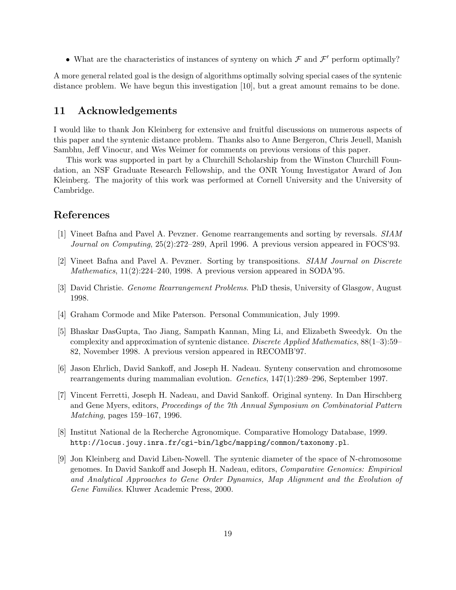• What are the characteristics of instances of synteny on which  $\mathcal F$  and  $\mathcal F'$  perform optimally?

A more general related goal is the design of algorithms optimally solving special cases of the syntenic distance problem. We have begun this investigation [10], but a great amount remains to be done.

#### 11 Acknowledgements

I would like to thank Jon Kleinberg for extensive and fruitful discussions on numerous aspects of this paper and the syntenic distance problem. Thanks also to Anne Bergeron, Chris Jeuell, Manish Sambhu, Jeff Vinocur, and Wes Weimer for comments on previous versions of this paper.

This work was supported in part by a Churchill Scholarship from the Winston Churchill Foundation, an NSF Graduate Research Fellowship, and the ONR Young Investigator Award of Jon Kleinberg. The majority of this work was performed at Cornell University and the University of Cambridge.

# References

- [1] Vineet Bafna and Pavel A. Pevzner. Genome rearrangements and sorting by reversals. SIAM Journal on Computing, 25(2):272–289, April 1996. A previous version appeared in FOCS'93.
- [2] Vineet Bafna and Pavel A. Pevzner. Sorting by transpositions. SIAM Journal on Discrete Mathematics, 11(2):224–240, 1998. A previous version appeared in SODA'95.
- [3] David Christie. Genome Rearrangement Problems. PhD thesis, University of Glasgow, August 1998.
- [4] Graham Cormode and Mike Paterson. Personal Communication, July 1999.
- [5] Bhaskar DasGupta, Tao Jiang, Sampath Kannan, Ming Li, and Elizabeth Sweedyk. On the complexity and approximation of syntenic distance. Discrete Applied Mathematics, 88(1–3):59– 82, November 1998. A previous version appeared in RECOMB'97.
- [6] Jason Ehrlich, David Sankoff, and Joseph H. Nadeau. Synteny conservation and chromosome rearrangements during mammalian evolution. Genetics, 147(1):289–296, September 1997.
- [7] Vincent Ferretti, Joseph H. Nadeau, and David Sankoff. Original synteny. In Dan Hirschberg and Gene Myers, editors, Proceedings of the 7th Annual Symposium on Combinatorial Pattern Matching, pages 159–167, 1996.
- [8] Institut National de la Recherche Agronomique. Comparative Homology Database, 1999. http://locus.jouy.inra.fr/cgi-bin/lgbc/mapping/common/taxonomy.pl.
- [9] Jon Kleinberg and David Liben-Nowell. The syntenic diameter of the space of N-chromosome genomes. In David Sankoff and Joseph H. Nadeau, editors, Comparative Genomics: Empirical and Analytical Approaches to Gene Order Dynamics, Map Alignment and the Evolution of Gene Families. Kluwer Academic Press, 2000.